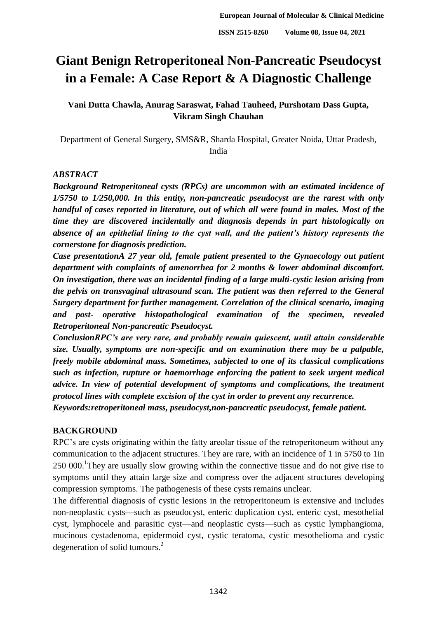# **Giant Benign Retroperitoneal Non-Pancreatic Pseudocyst in a Female: A Case Report & A Diagnostic Challenge**

## **Vani Dutta Chawla, Anurag Saraswat, Fahad Tauheed, Purshotam Dass Gupta, Vikram Singh Chauhan**

Department of General Surgery, SMS&R, Sharda Hospital, Greater Noida, Uttar Pradesh, India

## *ABSTRACT*

*Background Retroperitoneal cysts (RPCs) are uncommon with an estimated incidence of 1/5750 to 1/250,000. In this entity, non-pancreatic pseudocyst are the rarest with only handful of cases reported in literature, out of which all were found in males. Most of the time they are discovered incidentally and diagnosis depends in part histologically on absence of an epithelial lining to the cyst wall, and the patient's history represents the cornerstone for diagnosis prediction.*

*Case presentationA 27 year old, female patient presented to the Gynaecology out patient department with complaints of amenorrhea for 2 months & lower abdominal discomfort. On investigation, there was an incidental finding of a large multi-cystic lesion arising from the pelvis on transvaginal ultrasound scan. The patient was then referred to the General Surgery department for further management. Correlation of the clinical scenario, imaging and post- operative histopathological examination of the specimen, revealed Retroperitoneal Non-pancreatic Pseudocyst.* 

*ConclusionRPC's are very rare, and probably remain quiescent, until attain considerable size. Usually, symptoms are non-specific and on examination there may be a palpable, freely mobile abdominal mass. Sometimes, subjected to one of its classical complications such as infection, rupture or haemorrhage enforcing the patient to seek urgent medical advice. In view of potential development of symptoms and complications, the treatment protocol lines with complete excision of the cyst in order to prevent any recurrence.* 

*Keywords:retroperitoneal mass, pseudocyst,non-pancreatic pseudocyst, female patient.*

## **BACKGROUND**

RPC's are cysts originating within the fatty areolar tissue of the retroperitoneum without any communication to the adjacent structures. They are rare, with an incidence of 1 in 5750 to 1in  $250\,000$ .<sup>1</sup>They are usually slow growing within the connective tissue and do not give rise to symptoms until they attain large size and compress over the adjacent structures developing compression symptoms. The pathogenesis of these cysts remains unclear.

The differential diagnosis of cystic lesions in the retroperitoneum is extensive and includes non-neoplastic cysts—such as pseudocyst, enteric duplication cyst, enteric cyst, mesothelial cyst, lymphocele and parasitic cyst—and neoplastic cysts—such as cystic lymphangioma, mucinous cystadenoma, epidermoid cyst, cystic teratoma, cystic mesothelioma and cystic degeneration of solid tumours.<sup>2</sup>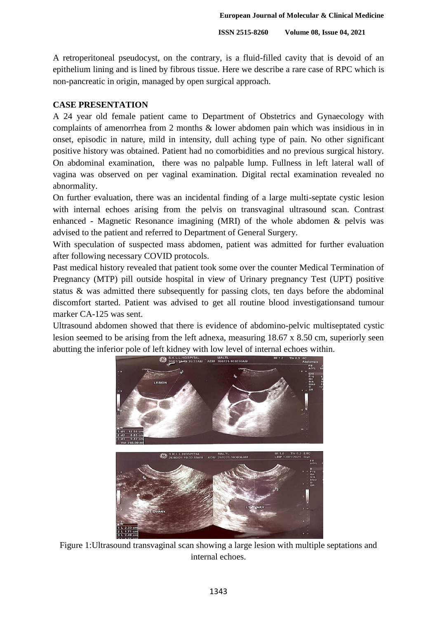A retroperitoneal pseudocyst, on the contrary, is a fluid-filled cavity that is devoid of an epithelium lining and is lined by fibrous tissue. Here we describe a rare case of RPC which is non-pancreatic in origin, managed by open surgical approach.

#### **CASE PRESENTATION**

A 24 year old female patient came to Department of Obstetrics and Gynaecology with complaints of amenorrhea from 2 months & lower abdomen pain which was insidious in in onset, episodic in nature, mild in intensity, dull aching type of pain. No other significant positive history was obtained. Patient had no comorbidities and no previous surgical history. On abdominal examination, there was no palpable lump. Fullness in left lateral wall of vagina was observed on per vaginal examination. Digital rectal examination revealed no abnormality.

On further evaluation, there was an incidental finding of a large multi-septate cystic lesion with internal echoes arising from the pelvis on transvaginal ultrasound scan. Contrast enhanced - Magnetic Resonance imagining (MRI) of the whole abdomen & pelvis was advised to the patient and referred to Department of General Surgery.

With speculation of suspected mass abdomen, patient was admitted for further evaluation after following necessary COVID protocols.

Past medical history revealed that patient took some over the counter Medical Termination of Pregnancy (MTP) pill outside hospital in view of Urinary pregnancy Test (UPT) positive status & was admitted there subsequently for passing clots, ten days before the abdominal discomfort started. Patient was advised to get all routine blood investigationsand tumour marker CA-125 was sent.

Ultrasound abdomen showed that there is evidence of abdomino-pelvic multiseptated cystic lesion seemed to be arising from the left adnexa, measuring 18.67 x 8.50 cm, superiorly seen abutting the inferior pole of left kidney with low level of internal echoes within.



Figure 1:Ultrasound transvaginal scan showing a large lesion with multiple septations and internal echoes.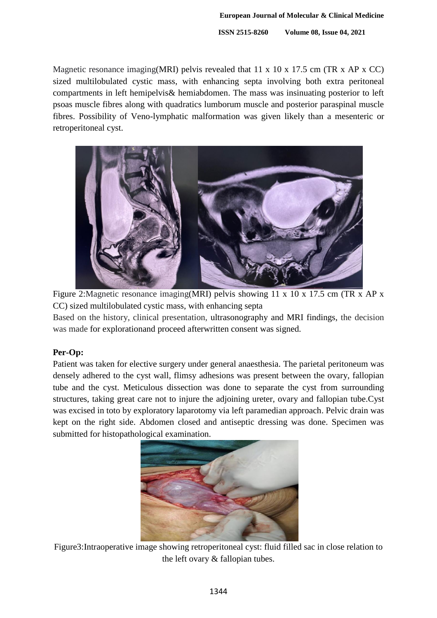Magnetic resonance imaging(MRI) pelvis revealed that 11 x 10 x 17.5 cm (TR x AP x CC) sized multilobulated cystic mass, with enhancing septa involving both extra peritoneal compartments in left hemipelvis& hemiabdomen. The mass was insinuating posterior to left psoas muscle fibres along with quadratics lumborum muscle and posterior paraspinal muscle fibres. Possibility of Veno-lymphatic malformation was given likely than a mesenteric or retroperitoneal cyst.



Figure 2:Magnetic resonance imaging(MRI) pelvis showing 11 x 10 x 17.5 cm (TR x AP x CC) sized multilobulated cystic mass, with enhancing septa

Based on the history, clinical presentation, ultrasonography and MRI findings, the decision was made for explorationand proceed afterwritten consent was signed.

## **Per-Op:**

Patient was taken for elective surgery under general anaesthesia. The parietal peritoneum was densely adhered to the cyst wall, flimsy adhesions was present between the ovary, fallopian tube and the cyst. Meticulous dissection was done to separate the cyst from surrounding structures, taking great care not to injure the adjoining ureter, ovary and fallopian tube.Cyst was excised in toto by exploratory laparotomy via left paramedian approach. Pelvic drain was kept on the right side. Abdomen closed and antiseptic dressing was done. Specimen was submitted for histopathological examination.



Figure3:Intraoperative image showing retroperitoneal cyst: fluid filled sac in close relation to the left ovary & fallopian tubes.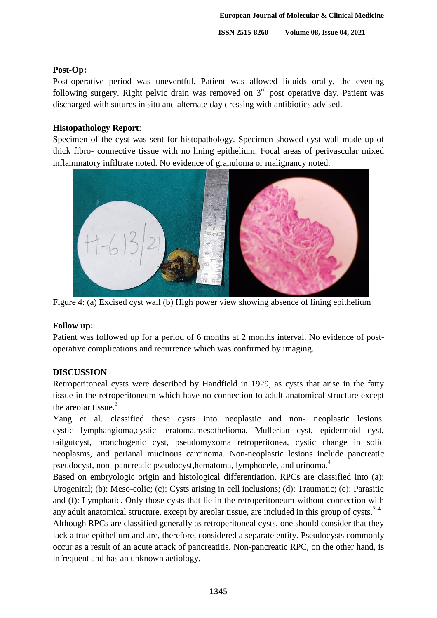## **Post-Op:**

Post-operative period was uneventful. Patient was allowed liquids orally, the evening following surgery. Right pelvic drain was removed on 3<sup>rd</sup> post operative day. Patient was discharged with sutures in situ and alternate day dressing with antibiotics advised.

#### **Histopathology Report**:

Specimen of the cyst was sent for histopathology. Specimen showed cyst wall made up of thick fibro- connective tissue with no lining epithelium. Focal areas of perivascular mixed inflammatory infiltrate noted. No evidence of granuloma or malignancy noted.



Figure 4: (a) Excised cyst wall (b) High power view showing absence of lining epithelium

#### **Follow up:**

Patient was followed up for a period of 6 months at 2 months interval. No evidence of postoperative complications and recurrence which was confirmed by imaging.

## **DISCUSSION**

Retroperitoneal cysts were described by Handfield in 1929, as cysts that arise in the fatty tissue in the retroperitoneum which have no connection to adult anatomical structure except the areolar tissue. $3$ 

Yang et al. classified these cysts into neoplastic and non- neoplastic lesions. cystic lymphangioma,cystic teratoma,mesothelioma, Mullerian cyst, epidermoid cyst, tailgutcyst, bronchogenic cyst, pseudomyxoma retroperitonea, cystic change in solid neoplasms, and perianal mucinous carcinoma. Non-neoplastic lesions include pancreatic pseudocyst, non- pancreatic pseudocyst,hematoma, lymphocele, and urinoma.<sup>4</sup>

Based on embryologic origin and histological differentiation, RPCs are classified into (a): Urogenital; (b): Meso-colic; (c): Cysts arising in cell inclusions; (d): Traumatic; (e): Parasitic and (f): Lymphatic. Only those cysts that lie in the retroperitoneum without connection with any adult anatomical structure, except by areolar tissue, are included in this group of cysts. $2-4$ 

Although RPCs are classified generally as retroperitoneal cysts, one should consider that they lack a true epithelium and are, therefore, considered a separate entity. Pseudocysts commonly occur as a result of an acute attack of pancreatitis. Non-pancreatic RPC, on the other hand, is infrequent and has an unknown aetiology.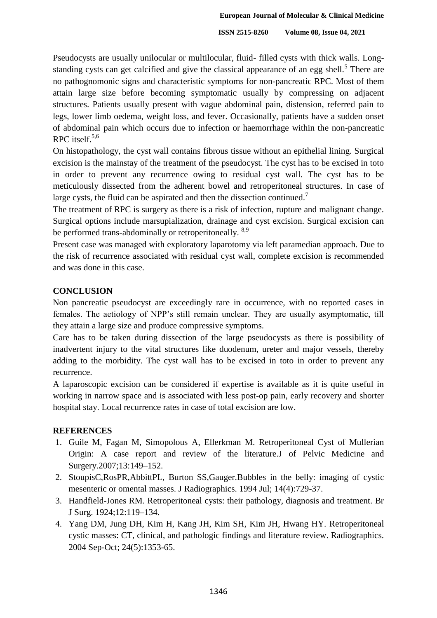Pseudocysts are usually unilocular or multilocular, fluid- filled cysts with thick walls. Longstanding cysts can get calcified and give the classical appearance of an egg shell.<sup>5</sup> There are no pathognomonic signs and characteristic symptoms for non-pancreatic RPC. Most of them attain large size before becoming symptomatic usually by compressing on adjacent structures. Patients usually present with vague abdominal pain, distension, referred pain to legs, lower limb oedema, weight loss, and fever. Occasionally, patients have a sudden onset of abdominal pain which occurs due to infection or haemorrhage within the non-pancreatic RPC itself. $5,6$ 

On histopathology, the cyst wall contains fibrous tissue without an epithelial lining. Surgical excision is the mainstay of the treatment of the pseudocyst. The cyst has to be excised in toto in order to prevent any recurrence owing to residual cyst wall. The cyst has to be meticulously dissected from the adherent bowel and retroperitoneal structures. In case of large cysts, the fluid can be aspirated and then the dissection continued.<sup>7</sup>

The treatment of RPC is surgery as there is a risk of infection, rupture and malignant change. Surgical options include marsupialization, drainage and cyst excision. Surgical excision can be performed trans-abdominally or retroperitoneally. <sup>8,9</sup>

Present case was managed with exploratory laparotomy via left paramedian approach. Due to the risk of recurrence associated with residual cyst wall, complete excision is recommended and was done in this case.

#### **CONCLUSION**

Non pancreatic pseudocyst are exceedingly rare in occurrence, with no reported cases in females. The aetiology of NPP's still remain unclear. They are usually asymptomatic, till they attain a large size and produce compressive symptoms.

Care has to be taken during dissection of the large pseudocysts as there is possibility of inadvertent injury to the vital structures like duodenum, ureter and major vessels, thereby adding to the morbidity. The cyst wall has to be excised in toto in order to prevent any recurrence.

A laparoscopic excision can be considered if expertise is available as it is quite useful in working in narrow space and is associated with less post-op pain, early recovery and shorter hospital stay. Local recurrence rates in case of total excision are low.

#### **REFERENCES**

- 1. Guile M, Fagan M, Simopolous A, Ellerkman M. Retroperitoneal Cyst of Mullerian Origin: A case report and review of the literature.J of Pelvic Medicine and Surgery.2007;13:149–152.
- 2. StoupisC,RosPR,AbbittPL, Burton SS,Gauger.Bubbles in the belly: imaging of cystic mesenteric or omental masses. J Radiographics. 1994 Jul; 14(4):729-37.
- 3. Handfield-Jones RM. Retroperitoneal cysts: their pathology, diagnosis and treatment. Br J Surg. 1924;12:119–134.
- 4. Yang DM, Jung DH, Kim H, Kang JH, Kim SH, Kim JH, Hwang HY. Retroperitoneal cystic masses: CT, clinical, and pathologic findings and literature review. Radiographics. 2004 Sep-Oct; 24(5):1353-65.